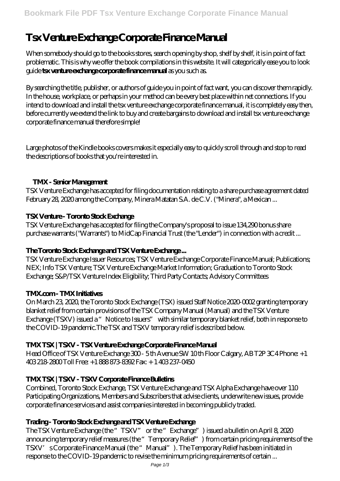# **Tsx Venture Exchange Corporate Finance Manual**

When somebody should go to the books stores, search opening by shop, shelf by shelf, it is in point of fact problematic. This is why we offer the book compilations in this website. It will categorically ease you to look guide **tsx venture exchange corporate finance manual** as you such as.

By searching the title, publisher, or authors of guide you in point of fact want, you can discover them rapidly. In the house, workplace, or perhaps in your method can be every best place within net connections. If you intend to download and install the tsx venture exchange corporate finance manual, it is completely easy then, before currently we extend the link to buy and create bargains to download and install tsx venture exchange corporate finance manual therefore simple!

Large photos of the Kindle books covers makes it especially easy to quickly scroll through and stop to read the descriptions of books that you're interested in.

# **TMX - Senior Management**

TSX Venture Exchange has accepted for filing documentation relating to a share purchase agreement dated February 28, 2020 among the Company, Minera Matatan S.A. de C.V. ("Minera", a Mexican ...

# **TSX Venture - Toronto Stock Exchange**

TSX Venture Exchange has accepted for filing the Company's proposal to issue 134,290 bonus share purchase warrants ("Warrants") to MidCap Financial Trust (the "Lender") in connection with a credit ...

# **The Toronto Stock Exchange and TSX Venture Exchange ...**

TSX Venture Exchange Issuer Resources; TSX Venture Exchange Corporate Finance Manual; Publications; NEX; Info TSX Venture; TSX Venture Exchange Market Information; Graduation to Toronto Stock Exchange; S&P/TSX Venture Index Eligibility; Third Party Contacts; Advisory Committees

# **TMX.com - TMX Initiatives**

On March 23, 2020, the Toronto Stock Exchange (TSX) issued Staff Notice 2020-0002 granting temporary blanket relief from certain provisions of the TSX Company Manual (Manual) and the TSX Venture Exchange (TSXV) issued a "Notice to Issuers" with similar temporary blanket relief, both in response to the COVID-19 pandemic.The TSX and TSXV temporary relief is described below.

# **TMX TSX | TSXV - TSX Venture Exchange Corporate Finance Manual**

Head Office of TSX Venture Exchange 300 - 5th Avenue SW 10th Floor Calgary, AB T2P 3C4 Phone: +1 403 218-2800 Toll Free: +1 888 873-8392 Fax: + 1 403 237-0450

# **TMX TSX | TSXV - TSXV Corporate Finance Bulletins**

Combined, Toronto Stock Exchange, TSX Venture Exchange and TSX Alpha Exchange have over 110 Participating Organizations, Members and Subscribers that advise clients, underwrite new issues, provide corporate finance services and assist companies interested in becoming publicly traded.

# **Trading - Toronto Stock Exchange and TSX Venture Exchange**

The TSX Venture Exchange (the "TSXV" or the "Exchange") issued a bulletin on April 8, 2020 announcing temporary relief measures (the "Temporary Relief") from certain pricing requirements of the TSXV' sCorporate Finance Manual (the "Manual"). The Temporary Relief has been initiated in response to the COVID-19 pandemic to revise the minimum pricing requirements of certain ...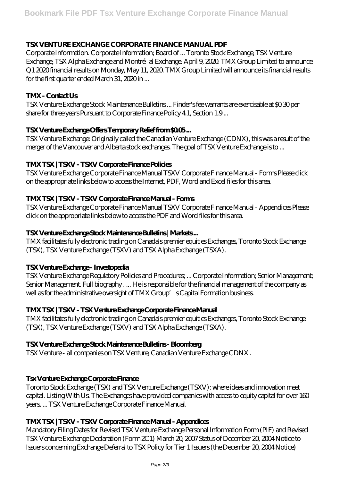#### **TSX VENTURE EXCHANGE CORPORATE FINANCE MANUAL PDF**

Corporate Information. Corporate Information; Board of ... Toronto Stock Exchange, TSX Venture Exchange, TSX Alpha Exchange and Montré al Exchange. April 9, 2020. TMX Group Limited to announce Q1 2020 financial results on Monday, May 11, 2020. TMX Group Limited will announce its financial results for the first quarter ended March 31, 2020 in ...

#### **TMX - Contact Us**

TSX Venture Exchange Stock Maintenance Bulletins ... Finder's fee warrants are exercisable at \$0.30 per share for three years Pursuant to Corporate Finance Policy 4.1, Section 1.9 ...

#### **TSX Venture Exchange Offers Temporary Relief from \$0.05 ...**

TSX Venture Exchange: Originally called the Canadian Venture Exchange (CDNX), this was a result of the merger of the Vancouver and Alberta stock exchanges. The goal of TSX Venture Exchange is to ...

#### **TMX TSX | TSXV - TSXV Corporate Finance Policies**

TSX Venture Exchange Corporate Finance Manual TSXV Corporate Finance Manual - Forms Please click on the appropriate links below to access the Internet, PDF, Word and Excel files for this area.

#### **TMX TSX | TSXV - TSXV Corporate Finance Manual - Forms**

TSX Venture Exchange Corporate Finance Manual TSXV Corporate Finance Manual - Appendices Please click on the appropriate links below to access the PDF and Word files for this area.

#### **TSX Venture Exchange Stock Maintenance Bulletins | Markets ...**

TMX facilitates fully electronic trading on Canada's premier equities Exchanges, Toronto Stock Exchange (TSX), TSX Venture Exchange (TSXV) and TSX Alpha Exchange (TSXA).

#### **TSX Venture Exchange - Investopedia**

TSX Venture Exchange Regulatory Policies and Procedures; ... Corporate Information; Senior Management; Senior Management. Full biography . ... He is responsible for the financial management of the company as well as for the administrative oversight of TMX Group's Capital Formation business.

# **TMX TSX | TSXV - TSX Venture Exchange Corporate Finance Manual**

TMX facilitates fully electronic trading on Canada's premier equities Exchanges, Toronto Stock Exchange (TSX), TSX Venture Exchange (TSXV) and TSX Alpha Exchange (TSXA).

#### **TSX Venture Exchange Stock Maintenance Bulletins - Bloomberg**

TSX Venture - all companies on TSX Venture, Canadian Venture Exchange CDNX .

# **Tsx Venture Exchange Corporate Finance**

Toronto Stock Exchange (TSX) and TSX Venture Exchange (TSXV): where ideas and innovation meet capital. Listing With Us. The Exchanges have provided companies with access to equity capital for over 160 years. ... TSX Venture Exchange Corporate Finance Manual.

#### **TMX TSX | TSXV - TSXV Corporate Finance Manual - Appendices**

Mandatory Filing Dates for Revised TSX Venture Exchange Personal Information Form (PIF) and Revised TSX Venture Exchange Declaration (Form 2C1) March 20, 2007 Status of December 20, 2004 Notice to Issuers concerning Exchange Deferral to TSX Policy for Tier 1 Issuers (the December 20, 2004 Notice)